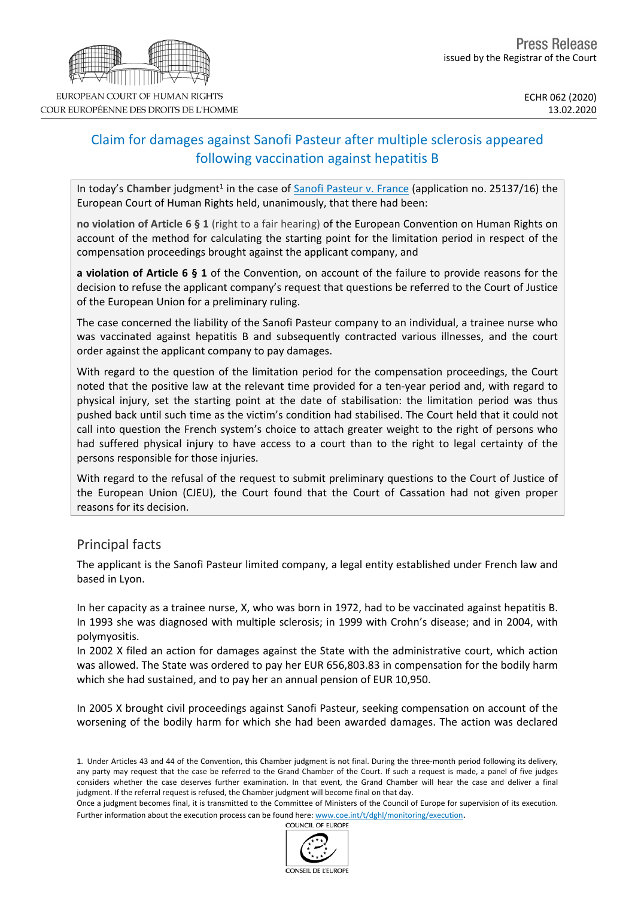# Claim for damages against Sanofi Pasteur after multiple sclerosis appeared following vaccination against hepatitis B

In today's Chamber judgment<sup>1</sup> in the case of **Sanofi [Pasteur](http://hudoc.echr.coe.int/eng?i=001-200818) v. France** (application no. 25137/16) the European Court of Human Rights held, unanimously, that there had been:

**no violation of Article 6 § 1** (right to a fair hearing) of the European Convention on Human Rights on account of the method for calculating the starting point for the limitation period in respect of the compensation proceedings brought against the applicant company, and

**a violation of Article 6 § 1** of the Convention, on account of the failure to provide reasons for the decision to refuse the applicant company's request that questions be referred to the Court of Justice of the European Union for a preliminary ruling.

The case concerned the liability of the Sanofi Pasteur company to an individual, a trainee nurse who was vaccinated against hepatitis B and subsequently contracted various illnesses, and the court order against the applicant company to pay damages.

With regard to the question of the limitation period for the compensation proceedings, the Court noted that the positive law at the relevant time provided for a ten-year period and, with regard to physical injury, set the starting point at the date of stabilisation: the limitation period was thus pushed back until such time as the victim's condition had stabilised. The Court held that it could not call into question the French system's choice to attach greater weight to the right of persons who had suffered physical injury to have access to a court than to the right to legal certainty of the persons responsible for those injuries.

With regard to the refusal of the request to submit preliminary questions to the Court of Justice of the European Union (CJEU), the Court found that the Court of Cassation had not given proper reasons for its decision.

## Principal facts

The applicant is the Sanofi Pasteur limited company, a legal entity established under French law and based in Lyon.

In her capacity as a trainee nurse, X, who was born in 1972, had to be vaccinated against hepatitis B. In 1993 she was diagnosed with multiple sclerosis; in 1999 with Crohn's disease; and in 2004, with polymyositis.

In 2002 X filed an action for damages against the State with the administrative court, which action was allowed. The State was ordered to pay her EUR 656,803.83 in compensation for the bodily harm which she had sustained, and to pay her an annual pension of EUR 10,950.

In 2005 X brought civil proceedings against Sanofi Pasteur, seeking compensation on account of the worsening of the bodily harm for which she had been awarded damages. The action was declared

1. Under Articles 43 and 44 of the Convention, this Chamber judgment is not final. During the three-month period following its delivery, any party may request that the case be referred to the Grand Chamber of the Court. If such a request is made, a panel of five judges considers whether the case deserves further examination. In that event, the Grand Chamber will hear the case and deliver a final judgment. If the referral request is refused, the Chamber judgment will become final on that day.

Once a judgment becomes final, it is transmitted to the Committee of Ministers of the Council of Europe for supervision of its execution. Further information about the execution process can be found here: [www.coe.int/t/dghl/monitoring/execution](http://www.coe.int/t/dghl/monitoring/execution).<br>COUNCIL OF FUROPE



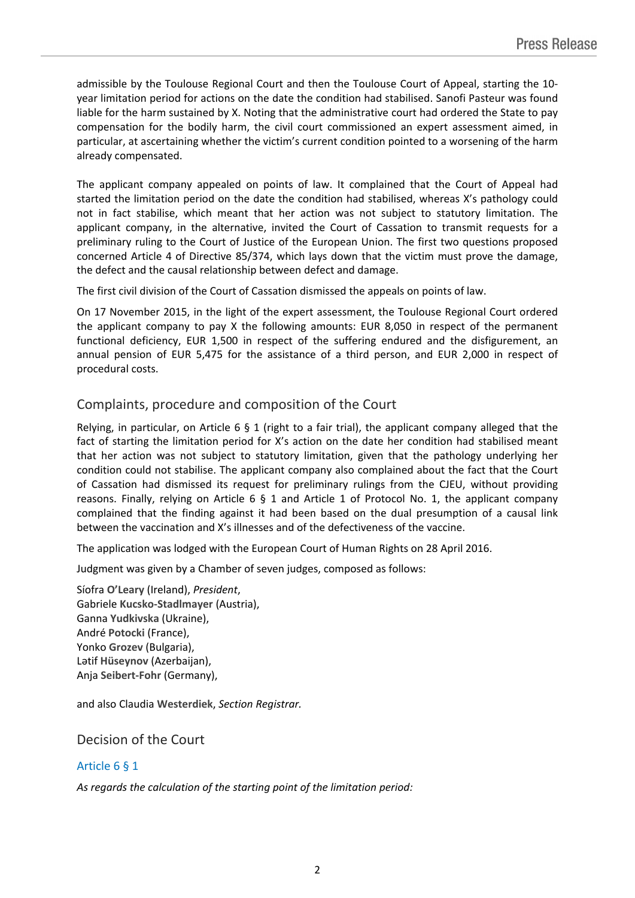admissible by the Toulouse Regional Court and then the Toulouse Court of Appeal, starting the 10 year limitation period for actions on the date the condition had stabilised. Sanofi Pasteur was found liable for the harm sustained by X. Noting that the administrative court had ordered the State to pay compensation for the bodily harm, the civil court commissioned an expert assessment aimed, in particular, at ascertaining whether the victim's current condition pointed to a worsening of the harm already compensated.

The applicant company appealed on points of law. It complained that the Court of Appeal had started the limitation period on the date the condition had stabilised, whereas X's pathology could not in fact stabilise, which meant that her action was not subject to statutory limitation. The applicant company, in the alternative, invited the Court of Cassation to transmit requests for a preliminary ruling to the Court of Justice of the European Union. The first two questions proposed concerned Article 4 of Directive 85/374, which lays down that the victim must prove the damage, the defect and the causal relationship between defect and damage.

The first civil division of the Court of Cassation dismissed the appeals on points of law.

On 17 November 2015, in the light of the expert assessment, the Toulouse Regional Court ordered the applicant company to pay X the following amounts: EUR 8,050 in respect of the permanent functional deficiency, EUR 1,500 in respect of the suffering endured and the disfigurement, an annual pension of EUR 5,475 for the assistance of a third person, and EUR 2,000 in respect of procedural costs.

### Complaints, procedure and composition of the Court

Relying, in particular, on Article 6  $\S$  1 (right to a fair trial), the applicant company alleged that the fact of starting the limitation period for X's action on the date her condition had stabilised meant that her action was not subject to statutory limitation, given that the pathology underlying her condition could not stabilise. The applicant company also complained about the fact that the Court of Cassation had dismissed its request for preliminary rulings from the CJEU, without providing reasons. Finally, relying on Article 6  $\S$  1 and Article 1 of Protocol No. 1, the applicant company complained that the finding against it had been based on the dual presumption of a causal link between the vaccination and X's illnesses and of the defectiveness of the vaccine.

The application was lodged with the European Court of Human Rights on 28 April 2016.

Judgment was given by a Chamber of seven judges, composed as follows:

Síofra **O'Leary** (Ireland), *President*, Gabriele **Kucsko-Stadlmayer** (Austria), Ganna **Yudkivska** (Ukraine), André **Potocki** (France), Yonko **Grozev** (Bulgaria), Lәtif **Hüseynov** (Azerbaijan), Anja **Seibert-Fohr** (Germany),

and also Claudia **Westerdiek**, *Section Registrar.*

### Decision of the Court

### Article 6 § 1

*As regards the calculation of the starting point of the limitation period:*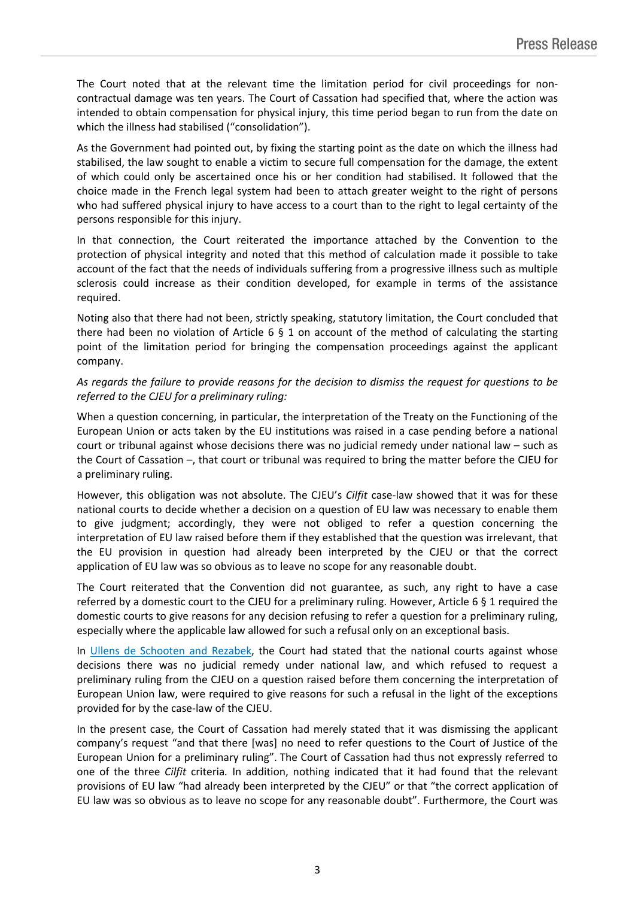The Court noted that at the relevant time the limitation period for civil proceedings for noncontractual damage was ten years. The Court of Cassation had specified that, where the action was intended to obtain compensation for physical injury, this time period began to run from the date on which the illness had stabilised ("consolidation").

As the Government had pointed out, by fixing the starting point as the date on which the illness had stabilised, the law sought to enable a victim to secure full compensation for the damage, the extent of which could only be ascertained once his or her condition had stabilised. It followed that the choice made in the French legal system had been to attach greater weight to the right of persons who had suffered physical injury to have access to a court than to the right to legal certainty of the persons responsible for this injury.

In that connection, the Court reiterated the importance attached by the Convention to the protection of physical integrity and noted that this method of calculation made it possible to take account of the fact that the needs of individuals suffering from a progressive illness such as multiple sclerosis could increase as their condition developed, for example in terms of the assistance required.

Noting also that there had not been, strictly speaking, statutory limitation, the Court concluded that there had been no violation of Article 6  $\S$  1 on account of the method of calculating the starting point of the limitation period for bringing the compensation proceedings against the applicant company.

#### As regards the failure to provide reasons for the decision to dismiss the request for questions to be *referred to the CJEU for a preliminary ruling:*

When a question concerning, in particular, the interpretation of the Treaty on the Functioning of the European Union or acts taken by the EU institutions was raised in a case pending before a national court or tribunal against whose decisions there was no judicial remedy under national law – such as the Court of Cassation –, that court or tribunal was required to bring the matter before the CJEU for a preliminary ruling.

However, this obligation was not absolute. The CJEU's *Cilfit* case-law showed that it was for these national courts to decide whether a decision on a question of EU law was necessary to enable them to give judgment; accordingly, they were not obliged to refer a question concerning the interpretation of EU law raised before them if they established that the question was irrelevant, that the EU provision in question had already been interpreted by the CJEU or that the correct application of EU law was so obvious as to leave no scope for any reasonable doubt.

The Court reiterated that the Convention did not guarantee, as such, any right to have a case referred by a domestic court to the CJEU for a preliminary ruling. However, Article 6 § 1 required the domestic courts to give reasons for any decision refusing to refer a question for a preliminary ruling, especially where the applicable law allowed for such a refusal only on an exceptional basis.

In Ullens de [Schooten](http://hudoc.echr.coe.int/eng?i=003-3676622-4181600) and Rezabek, the Court had stated that the national courts against whose decisions there was no judicial remedy under national law, and which refused to request a preliminary ruling from the CJEU on a question raised before them concerning the interpretation of European Union law, were required to give reasons for such a refusal in the light of the exceptions provided for by the case-law of the CJEU.

In the present case, the Court of Cassation had merely stated that it was dismissing the applicant company's request "and that there [was] no need to refer questions to the Court of Justice of the European Union for a preliminary ruling". The Court of Cassation had thus not expressly referred to one of the three *Cilfit* criteria*.* In addition, nothing indicated that it had found that the relevant provisions of EU law "had already been interpreted by the CJEU" or that "the correct application of EU law was so obvious as to leave no scope for any reasonable doubt". Furthermore, the Court was